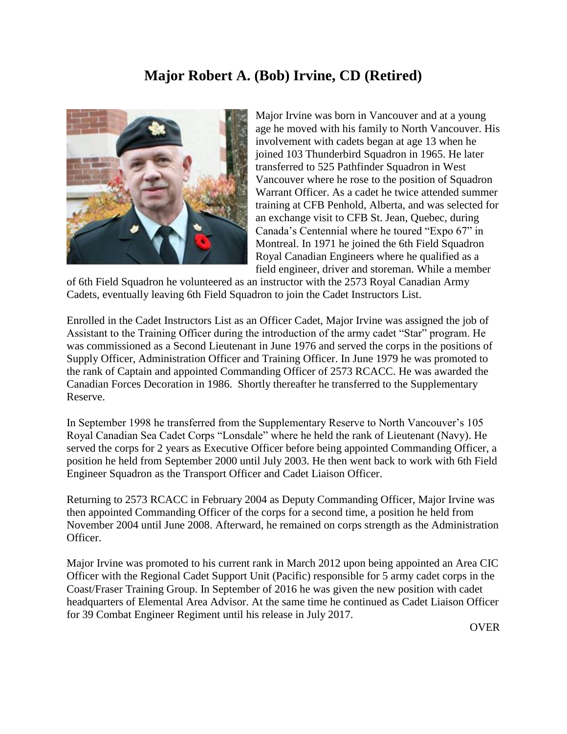## **Major Robert A. (Bob) Irvine, CD (Retired)**



Major Irvine was born in Vancouver and at a young age he moved with his family to North Vancouver. His involvement with cadets began at age 13 when he joined 103 Thunderbird Squadron in 1965. He later transferred to 525 Pathfinder Squadron in West Vancouver where he rose to the position of Squadron Warrant Officer. As a cadet he twice attended summer training at CFB Penhold, Alberta, and was selected for an exchange visit to CFB St. Jean, Quebec, during Canada's Centennial where he toured "Expo 67" in Montreal. In 1971 he joined the 6th Field Squadron Royal Canadian Engineers where he qualified as a field engineer, driver and storeman. While a member

of 6th Field Squadron he volunteered as an instructor with the 2573 Royal Canadian Army Cadets, eventually leaving 6th Field Squadron to join the Cadet Instructors List.

Enrolled in the Cadet Instructors List as an Officer Cadet, Major Irvine was assigned the job of Assistant to the Training Officer during the introduction of the army cadet "Star" program. He was commissioned as a Second Lieutenant in June 1976 and served the corps in the positions of Supply Officer, Administration Officer and Training Officer. In June 1979 he was promoted to the rank of Captain and appointed Commanding Officer of 2573 RCACC. He was awarded the Canadian Forces Decoration in 1986. Shortly thereafter he transferred to the Supplementary Reserve.

In September 1998 he transferred from the Supplementary Reserve to North Vancouver's 105 Royal Canadian Sea Cadet Corps "Lonsdale" where he held the rank of Lieutenant (Navy). He served the corps for 2 years as Executive Officer before being appointed Commanding Officer, a position he held from September 2000 until July 2003. He then went back to work with 6th Field Engineer Squadron as the Transport Officer and Cadet Liaison Officer.

Returning to 2573 RCACC in February 2004 as Deputy Commanding Officer, Major Irvine was then appointed Commanding Officer of the corps for a second time, a position he held from November 2004 until June 2008. Afterward, he remained on corps strength as the Administration Officer.

Major Irvine was promoted to his current rank in March 2012 upon being appointed an Area CIC Officer with the Regional Cadet Support Unit (Pacific) responsible for 5 army cadet corps in the Coast/Fraser Training Group. In September of 2016 he was given the new position with cadet headquarters of Elemental Area Advisor. At the same time he continued as Cadet Liaison Officer for 39 Combat Engineer Regiment until his release in July 2017.